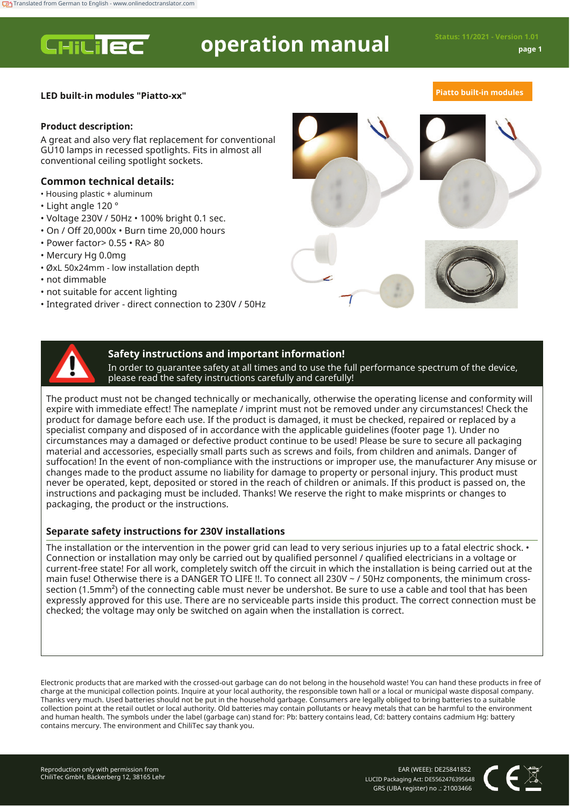**CHILIEC** 

# **operation manual Status: 11/2021 - Version 1.01**

# **LED built-in modules "Piatto-xx" Piatto built-in modules**

## **Product description:**

A great and also very flat replacement for conventional GU10 lamps in recessed spotlights. Fits in almost all conventional ceiling spotlight sockets.

# **Common technical details:**

- Housing plastic + aluminum
- Light angle 120 °
- Voltage 230V / 50Hz 100% bright 0.1 sec.
- On / Off 20,000x Burn time 20,000 hours
- Power factor> 0.55 RA> 80
- Mercury Hg 0.0mg
- ØxL 50x24mm low installation depth
- not dimmable
- not suitable for accent lighting
- Integrated driver direct connection to 230V / 50Hz





# **Safety instructions and important information!**

In order to guarantee safety at all times and to use the full performance spectrum of the device, please read the safety instructions carefully and carefully!

The product must not be changed technically or mechanically, otherwise the operating license and conformity will expire with immediate effect! The nameplate / imprint must not be removed under any circumstances! Check the product for damage before each use. If the product is damaged, it must be checked, repaired or replaced by a specialist company and disposed of in accordance with the applicable guidelines (footer page 1). Under no circumstances may a damaged or defective product continue to be used! Please be sure to secure all packaging material and accessories, especially small parts such as screws and foils, from children and animals. Danger of suffocation! In the event of non-compliance with the instructions or improper use, the manufacturer Any misuse or changes made to the product assume no liability for damage to property or personal injury. This product must never be operated, kept, deposited or stored in the reach of children or animals. If this product is passed on, the instructions and packaging must be included. Thanks! We reserve the right to make misprints or changes to packaging, the product or the instructions.

# **Separate safety instructions for 230V installations**

The installation or the intervention in the power grid can lead to very serious injuries up to a fatal electric shock. • Connection or installation may only be carried out by qualified personnel / qualified electricians in a voltage or current-free state! For all work, completely switch off the circuit in which the installation is being carried out at the main fuse! Otherwise there is a DANGER TO LIFE !!. To connect all 230V ~ / 50Hz components, the minimum crosssection (1.5mm²) of the connecting cable must never be undershot. Be sure to use a cable and tool that has been expressly approved for this use. There are no serviceable parts inside this product. The correct connection must be checked; the voltage may only be switched on again when the installation is correct.

Electronic products that are marked with the crossed-out garbage can do not belong in the household waste! You can hand these products in free of charge at the municipal collection points. Inquire at your local authority, the responsible town hall or a local or municipal waste disposal company. Thanks very much. Used batteries should not be put in the household garbage. Consumers are legally obliged to bring batteries to a suitable collection point at the retail outlet or local authority. Old batteries may contain pollutants or heavy metals that can be harmful to the environment and human health. The symbols under the label (garbage can) stand for: Pb: battery contains lead, Cd: battery contains cadmium Hg: battery contains mercury. The environment and ChiliTec say thank you.

EAR (WEEE): DE25841852 LUCID Packaging Act: DE5562476395648 GRS (UBA register) no .: 21003466